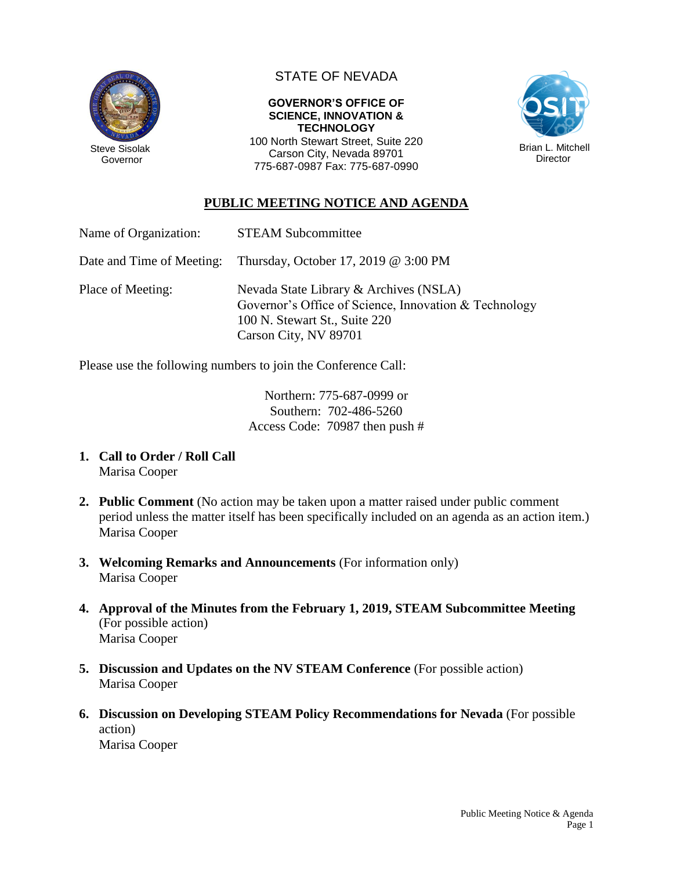

Governor

## STATE OF NEVADA

## **GOVERNOR'S OFFICE OF SCIENCE, INNOVATION & TECHNOLOGY**

100 North Stewart Street, Suite 220 Carson City, Nevada 89701 775-687-0987 Fax: 775-687-0990



## **PUBLIC MEETING NOTICE AND AGENDA**

| Name of Organization:     | <b>STEAM Subcommittee</b>                                                                                                                                 |
|---------------------------|-----------------------------------------------------------------------------------------------------------------------------------------------------------|
| Date and Time of Meeting: | Thursday, October 17, 2019 $@3:00$ PM                                                                                                                     |
| Place of Meeting:         | Nevada State Library & Archives (NSLA)<br>Governor's Office of Science, Innovation & Technology<br>100 N. Stewart St., Suite 220<br>Carson City, NV 89701 |

Please use the following numbers to join the Conference Call:

Northern: 775-687-0999 or Southern: 702-486-5260 Access Code: 70987 then push #

- **1. Call to Order / Roll Call** Marisa Cooper
- **2. Public Comment** (No action may be taken upon a matter raised under public comment period unless the matter itself has been specifically included on an agenda as an action item.) Marisa Cooper
- **3. Welcoming Remarks and Announcements** (For information only) Marisa Cooper
- **4. Approval of the Minutes from the February 1, 2019, STEAM Subcommittee Meeting** (For possible action) Marisa Cooper
- **5. Discussion and Updates on the NV STEAM Conference** (For possible action) Marisa Cooper
- **6. Discussion on Developing STEAM Policy Recommendations for Nevada** (For possible action) Marisa Cooper